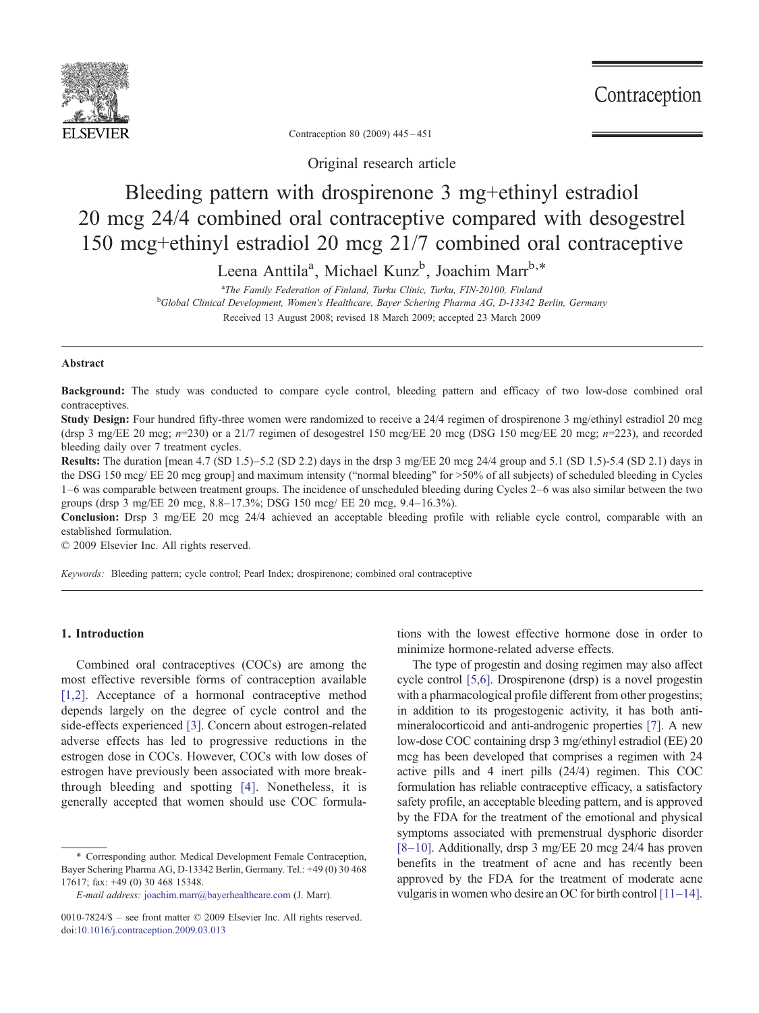

Contraception

Contraception 80 (2009) 445–451

Original research article

# Bleeding pattern with drospirenone 3 mg+ethinyl estradiol 20 mcg 24/4 combined oral contraceptive compared with desogestrel 150 mcg+ethinyl estradiol 20 mcg 21/7 combined oral contraceptive

Leena Anttila<sup>a</sup>, Michael Kunz<sup>b</sup>, Joachim Marr<sup>b,\*</sup>

<sup>a</sup>The Family Federation of Finland, Turku Clinic, Turku, FIN-20100, Finland <sup>a</sup>The Family Federation of Finland, Turku Clinic, Turku, FIN-20100, Finland<br><sup>b</sup>Global Clinical Development, Women's Healthcare, Bayer Schering Pharma AG, D-13342 Berlin, Germany Received 13 August 2008; revised 18 March 2009; accepted 23 March 2009

#### Abstract

Background: The study was conducted to compare cycle control, bleeding pattern and efficacy of two low-dose combined oral contraceptives.

Study Design: Four hundred fifty-three women were randomized to receive a 24/4 regimen of drospirenone 3 mg/ethinyl estradiol 20 mcg (drsp 3 mg/EE 20 mcg;  $n=230$ ) or a 21/7 regimen of desogestrel 150 mcg/EE 20 mcg (DSG 150 mcg/EE 20 mcg;  $n=223$ ), and recorded bleeding daily over 7 treatment cycles.

Results: The duration [mean 4.7 (SD 1.5)–5.2 (SD 2.2) days in the drsp 3 mg/EE 20 mcg 24/4 group and 5.1 (SD 1.5)-5.4 (SD 2.1) days in the DSG 150 mcg/ EE 20 mcg group] and maximum intensity ("normal bleeding" for  $>50\%$  of all subjects) of scheduled bleeding in Cycles 1–6 was comparable between treatment groups. The incidence of unscheduled bleeding during Cycles 2–6 was also similar between the two groups (drsp 3 mg/EE 20 mcg, 8.8–17.3%; DSG 150 mcg/ EE 20 mcg, 9.4–16.3%).

Conclusion: Drsp 3 mg/EE 20 mcg 24/4 achieved an acceptable bleeding profile with reliable cycle control, comparable with an established formulation.

© 2009 Elsevier Inc. All rights reserved.

Keywords: Bleeding pattern; cycle control; Pearl Index; drospirenone; combined oral contraceptive

## 1. Introduction

Combined oral contraceptives (COCs) are among the most effective reversible forms of contraception available [\[1,2\].](#page-5-0) Acceptance of a hormonal contraceptive method depends largely on the degree of cycle control and the side-effects experienced [\[3\]](#page-5-0). Concern about estrogen-related adverse effects has led to progressive reductions in the estrogen dose in COCs. However, COCs with low doses of estrogen have previously been associated with more breakthrough bleeding and spotting [\[4\]](#page-5-0). Nonetheless, it is generally accepted that women should use COC formulations with the lowest effective hormone dose in order to minimize hormone-related adverse effects.

The type of progestin and dosing regimen may also affect cycle control [\[5,6\].](#page-5-0) Drospirenone (drsp) is a novel progestin with a pharmacological profile different from other progestins; in addition to its progestogenic activity, it has both antimineralocorticoid and anti-androgenic properties [\[7\]](#page-5-0). A new low-dose COC containing drsp 3 mg/ethinyl estradiol (EE) 20 mcg has been developed that comprises a regimen with 24 active pills and 4 inert pills (24/4) regimen. This COC formulation has reliable contraceptive efficacy, a satisfactory safety profile, an acceptable bleeding pattern, and is approved by the FDA for the treatment of the emotional and physical symptoms associated with premenstrual dysphoric disorder [8–[10\].](#page-5-0) Additionally, drsp 3 mg/EE 20 mcg 24/4 has proven benefits in the treatment of acne and has recently been approved by the FDA for the treatment of moderate acne vulgaris in women who desire an OC for birth control [\[11](#page-6-0)–14].

<sup>⁎</sup> Corresponding author. Medical Development Female Contraception, Bayer Schering Pharma AG, D-13342 Berlin, Germany. Tel.: +49 (0) 30 468 17617; fax: +49 (0) 30 468 15348.

E-mail address: [joachim.marr@bayerhealthcare.com](mailto:joachim.marr@bayerhealthcare.com) (J. Marr).

<sup>0010-7824/\$</sup> – see front matter © 2009 Elsevier Inc. All rights reserved. doi[:10.1016/j.contraception.2009.03.013](http://dx.doi.org/10.1016/j.contraception.2009.03.013)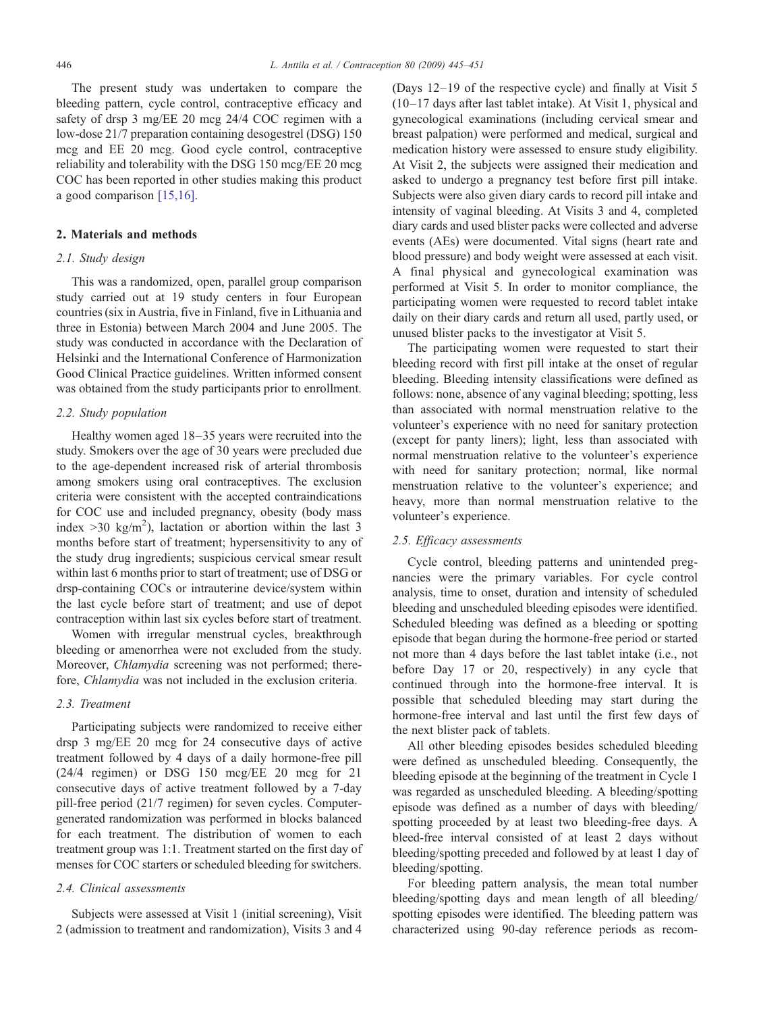The present study was undertaken to compare the bleeding pattern, cycle control, contraceptive efficacy and safety of drsp 3 mg/EE 20 mcg 24/4 COC regimen with a low-dose 21/7 preparation containing desogestrel (DSG) 150 mcg and EE 20 mcg. Good cycle control, contraceptive reliability and tolerability with the DSG 150 mcg/EE 20 mcg COC has been reported in other studies making this product a good comparison [\[15,16\]](#page-6-0).

## 2. Materials and methods

#### 2.1. Study design

This was a randomized, open, parallel group comparison study carried out at 19 study centers in four European countries (six in Austria, five in Finland, five in Lithuania and three in Estonia) between March 2004 and June 2005. The study was conducted in accordance with the Declaration of Helsinki and the International Conference of Harmonization Good Clinical Practice guidelines. Written informed consent was obtained from the study participants prior to enrollment.

## 2.2. Study population

Healthy women aged 18–35 years were recruited into the study. Smokers over the age of 30 years were precluded due to the age-dependent increased risk of arterial thrombosis among smokers using oral contraceptives. The exclusion criteria were consistent with the accepted contraindications for COC use and included pregnancy, obesity (body mass index  $>$  30 kg/m<sup>2</sup>), lactation or abortion within the last 3 months before start of treatment; hypersensitivity to any of the study drug ingredients; suspicious cervical smear result within last 6 months prior to start of treatment; use of DSG or drsp-containing COCs or intrauterine device/system within the last cycle before start of treatment; and use of depot contraception within last six cycles before start of treatment.

Women with irregular menstrual cycles, breakthrough bleeding or amenorrhea were not excluded from the study. Moreover, Chlamydia screening was not performed; therefore, Chlamydia was not included in the exclusion criteria.

# 2.3. Treatment

Participating subjects were randomized to receive either drsp 3 mg/EE 20 mcg for 24 consecutive days of active treatment followed by 4 days of a daily hormone-free pill (24/4 regimen) or DSG 150 mcg/EE 20 mcg for 21 consecutive days of active treatment followed by a 7-day pill-free period (21/7 regimen) for seven cycles. Computergenerated randomization was performed in blocks balanced for each treatment. The distribution of women to each treatment group was 1:1. Treatment started on the first day of menses for COC starters or scheduled bleeding for switchers.

## 2.4. Clinical assessments

Subjects were assessed at Visit 1 (initial screening), Visit 2 (admission to treatment and randomization), Visits 3 and 4

(Days 12–19 of the respective cycle) and finally at Visit 5 (10–17 days after last tablet intake). At Visit 1, physical and gynecological examinations (including cervical smear and breast palpation) were performed and medical, surgical and medication history were assessed to ensure study eligibility. At Visit 2, the subjects were assigned their medication and asked to undergo a pregnancy test before first pill intake. Subjects were also given diary cards to record pill intake and intensity of vaginal bleeding. At Visits 3 and 4, completed diary cards and used blister packs were collected and adverse events (AEs) were documented. Vital signs (heart rate and blood pressure) and body weight were assessed at each visit. A final physical and gynecological examination was performed at Visit 5. In order to monitor compliance, the participating women were requested to record tablet intake daily on their diary cards and return all used, partly used, or unused blister packs to the investigator at Visit 5.

The participating women were requested to start their bleeding record with first pill intake at the onset of regular bleeding. Bleeding intensity classifications were defined as follows: none, absence of any vaginal bleeding; spotting, less than associated with normal menstruation relative to the volunteer's experience with no need for sanitary protection (except for panty liners); light, less than associated with normal menstruation relative to the volunteer's experience with need for sanitary protection; normal, like normal menstruation relative to the volunteer's experience; and heavy, more than normal menstruation relative to the volunteer's experience.

#### 2.5. Efficacy assessments

Cycle control, bleeding patterns and unintended pregnancies were the primary variables. For cycle control analysis, time to onset, duration and intensity of scheduled bleeding and unscheduled bleeding episodes were identified. Scheduled bleeding was defined as a bleeding or spotting episode that began during the hormone-free period or started not more than 4 days before the last tablet intake (i.e., not before Day 17 or 20, respectively) in any cycle that continued through into the hormone-free interval. It is possible that scheduled bleeding may start during the hormone-free interval and last until the first few days of the next blister pack of tablets.

All other bleeding episodes besides scheduled bleeding were defined as unscheduled bleeding. Consequently, the bleeding episode at the beginning of the treatment in Cycle 1 was regarded as unscheduled bleeding. A bleeding/spotting episode was defined as a number of days with bleeding/ spotting proceeded by at least two bleeding-free days. A bleed-free interval consisted of at least 2 days without bleeding/spotting preceded and followed by at least 1 day of bleeding/spotting.

For bleeding pattern analysis, the mean total number bleeding/spotting days and mean length of all bleeding/ spotting episodes were identified. The bleeding pattern was characterized using 90-day reference periods as recom-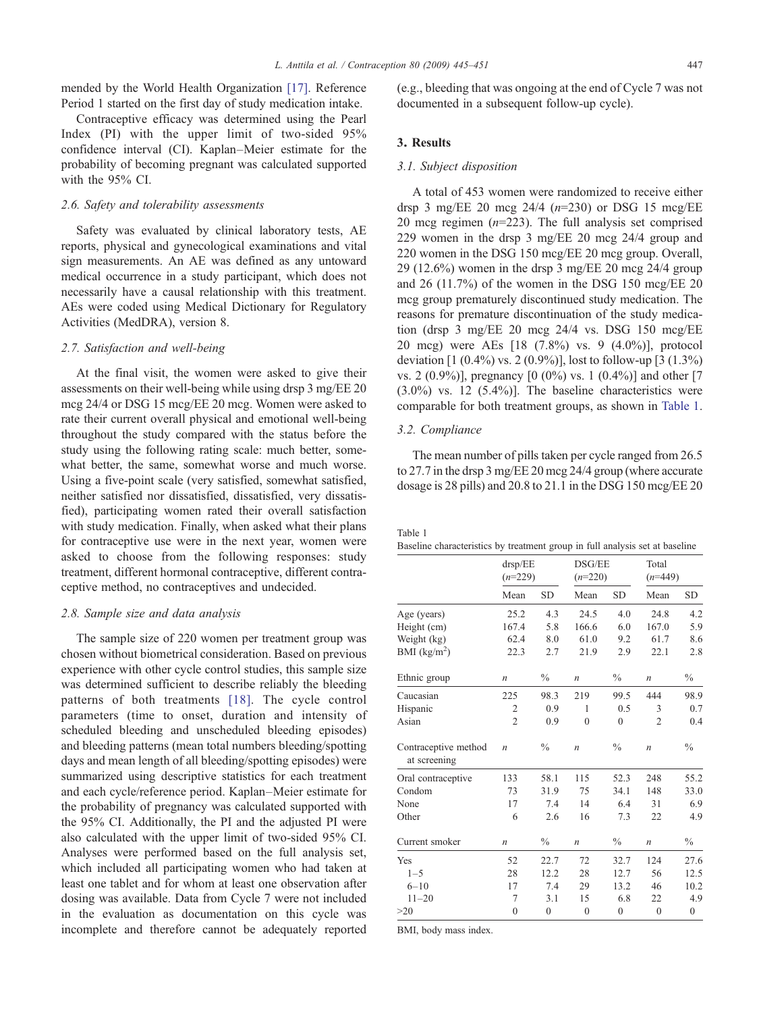Contraceptive efficacy was determined using the Pearl Index (PI) with the upper limit of two-sided 95% confidence interval (CI). Kaplan–Meier estimate for the probability of becoming pregnant was calculated supported with the 95% CI.

#### 2.6. Safety and tolerability assessments

Safety was evaluated by clinical laboratory tests, AE reports, physical and gynecological examinations and vital sign measurements. An AE was defined as any untoward medical occurrence in a study participant, which does not necessarily have a causal relationship with this treatment. AEs were coded using Medical Dictionary for Regulatory Activities (MedDRA), version 8.

#### 2.7. Satisfaction and well-being

At the final visit, the women were asked to give their assessments on their well-being while using drsp 3 mg/EE 20 mcg 24/4 or DSG 15 mcg/EE 20 mcg. Women were asked to rate their current overall physical and emotional well-being throughout the study compared with the status before the study using the following rating scale: much better, somewhat better, the same, somewhat worse and much worse. Using a five-point scale (very satisfied, somewhat satisfied, neither satisfied nor dissatisfied, dissatisfied, very dissatisfied), participating women rated their overall satisfaction with study medication. Finally, when asked what their plans for contraceptive use were in the next year, women were asked to choose from the following responses: study treatment, different hormonal contraceptive, different contraceptive method, no contraceptives and undecided.

#### 2.8. Sample size and data analysis

The sample size of 220 women per treatment group was chosen without biometrical consideration. Based on previous experience with other cycle control studies, this sample size was determined sufficient to describe reliably the bleeding patterns of both treatments [\[18\]](#page-6-0). The cycle control parameters (time to onset, duration and intensity of scheduled bleeding and unscheduled bleeding episodes) and bleeding patterns (mean total numbers bleeding/spotting days and mean length of all bleeding/spotting episodes) were summarized using descriptive statistics for each treatment and each cycle/reference period. Kaplan–Meier estimate for the probability of pregnancy was calculated supported with the 95% CI. Additionally, the PI and the adjusted PI were also calculated with the upper limit of two-sided 95% CI. Analyses were performed based on the full analysis set, which included all participating women who had taken at least one tablet and for whom at least one observation after dosing was available. Data from Cycle 7 were not included in the evaluation as documentation on this cycle was incomplete and therefore cannot be adequately reported (e.g., bleeding that was ongoing at the end of Cycle 7 was not documented in a subsequent follow-up cycle).

#### 3. Results

# 3.1. Subject disposition

A total of 453 women were randomized to receive either drsp 3 mg/EE 20 mcg  $24/4$  ( $n=230$ ) or DSG 15 mcg/EE 20 mcg regimen  $(n=223)$ . The full analysis set comprised 229 women in the drsp 3 mg/EE 20 mcg 24/4 group and 220 women in the DSG 150 mcg/EE 20 mcg group. Overall, 29 (12.6%) women in the drsp 3 mg/EE 20 mcg 24/4 group and 26 (11.7%) of the women in the DSG 150 mcg/EE 20 mcg group prematurely discontinued study medication. The reasons for premature discontinuation of the study medication (drsp 3 mg/EE 20 mcg 24/4 vs. DSG 150 mcg/EE 20 mcg) were AEs [18 (7.8%) vs. 9 (4.0%)], protocol deviation  $[1 (0.4\%)$  vs. 2  $(0.9\%)$ ], lost to follow-up  $[3 (1.3\%)$ vs. 2 (0.9%)], pregnancy [0 (0%) vs. 1 (0.4%)] and other [7  $(3.0\%)$  vs. 12  $(5.4\%)$ ]. The baseline characteristics were comparable for both treatment groups, as shown in Table 1.

### 3.2. Compliance

The mean number of pills taken per cycle ranged from 26.5 to 27.7 in the drsp 3 mg/EE 20 mcg 24/4 group (where accurate dosage is 28 pills) and 20.8 to 21.1 in the DSG 150 mcg/EE 20

Table 1

|                                      | drsp/EE<br>$(n=229)$ |               | DSG/EE<br>$(n=220)$ |                  | Total<br>$(n=449)$ |                  |
|--------------------------------------|----------------------|---------------|---------------------|------------------|--------------------|------------------|
|                                      | Mean                 | <b>SD</b>     | Mean                | <b>SD</b>        | Mean               | <b>SD</b>        |
| Age (years)                          | 25.2                 | 4.3           | 24.5                | 4.0              | 24.8               | 4.2              |
| Height (cm)                          | 167.4                | 5.8           | 166.6               | 6.0              | 167.0              | 5.9              |
| Weight (kg)                          | 62.4                 | 8.0           | 61.0                | 9.2              | 61.7               | 8.6              |
| BMI $(kg/m2)$                        | 22.3                 | 2.7           | 21.9                | 2.9              | 22.1               | 2.8              |
| Ethnic group                         | $\boldsymbol{n}$     | $\frac{0}{0}$ | $\boldsymbol{n}$    | $\frac{0}{0}$    | $\boldsymbol{n}$   | $\frac{0}{0}$    |
| Caucasian                            | 225                  | 98.3          | 219                 | 99.5             | 444                | 98.9             |
| Hispanic                             | 2                    | 0.9           | 1                   | 0.5              | 3                  | 0.7              |
| Asian                                | $\overline{2}$       | 0.9           | $\mathbf{0}$        | $\mathbf{0}$     | $\overline{c}$     | 0.4              |
| Contraceptive method<br>at screening | $\boldsymbol{n}$     | $\frac{0}{0}$ | $\boldsymbol{n}$    | $\frac{0}{0}$    | $\boldsymbol{n}$   | $\frac{0}{0}$    |
| Oral contraceptive                   | 133                  | 58.1          | 115                 | 52.3             | 248                | 55.2             |
| Condom                               | 73                   | 31.9          | 75                  | 34.1             | 148                | 33.0             |
| None                                 | 17                   | 7.4           | 14                  | 6.4              | 31                 | 6.9              |
| Other                                | 6                    | 2.6           | 16                  | 7.3              | 22                 | 4.9              |
| Current smoker                       | $\boldsymbol{n}$     | $\%$          | $\boldsymbol{n}$    | $\frac{0}{0}$    | $\boldsymbol{n}$   | $\frac{0}{0}$    |
| Yes                                  | 52                   | 22.7          | 72                  | 32.7             | 124                | 27.6             |
| $1 - 5$                              | 28                   | 12.2          | 28                  | 12.7             | 56                 | 12.5             |
| $6 - 10$                             | 17                   | 7.4           | 29                  | 13.2             | 46                 | 10.2             |
| $11 - 20$                            | 7                    | 3.1           | 15                  | 6.8              | 22                 | 4.9              |
| >20                                  | $\mathbf{0}$         | $\mathbf{0}$  | $\mathbf{0}$        | $\boldsymbol{0}$ | $\boldsymbol{0}$   | $\boldsymbol{0}$ |

BMI, body mass index.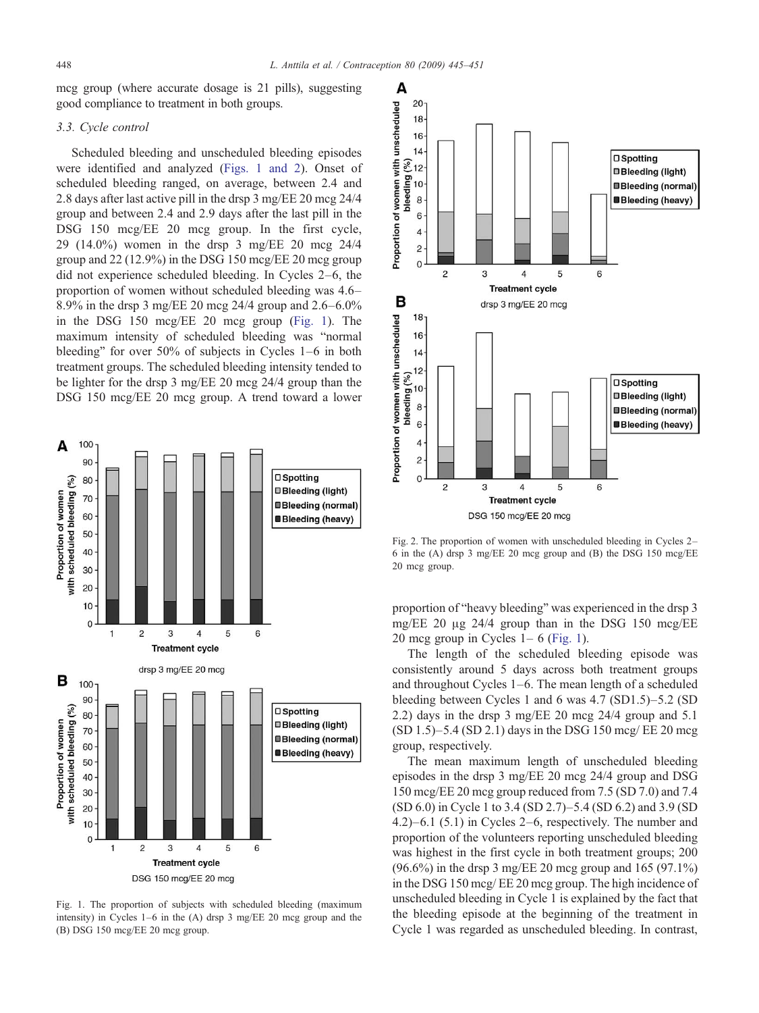<span id="page-3-0"></span>mcg group (where accurate dosage is 21 pills), suggesting good compliance to treatment in both groups.

## 3.3. Cycle control

Scheduled bleeding and unscheduled bleeding episodes were identified and analyzed (Figs. 1 and 2). Onset of scheduled bleeding ranged, on average, between 2.4 and 2.8 days after last active pill in the drsp 3 mg/EE 20 mcg 24/4 group and between 2.4 and 2.9 days after the last pill in the DSG 150 mcg/EE 20 mcg group. In the first cycle, 29 (14.0%) women in the drsp 3 mg/EE 20 mcg 24/4 group and 22 (12.9%) in the DSG 150 mcg/EE 20 mcg group did not experience scheduled bleeding. In Cycles 2–6, the proportion of women without scheduled bleeding was 4.6– 8.9% in the drsp 3 mg/EE 20 mcg 24/4 group and 2.6–6.0% in the DSG 150 mcg/EE 20 mcg group (Fig. 1). The maximum intensity of scheduled bleeding was "normal bleeding" for over 50% of subjects in Cycles 1–6 in both treatment groups. The scheduled bleeding intensity tended to be lighter for the drsp 3 mg/EE 20 mcg 24/4 group than the DSG 150 mcg/EE 20 mcg group. A trend toward a lower



Fig. 1. The proportion of subjects with scheduled bleeding (maximum intensity) in Cycles 1–6 in the (A) drsp 3 mg/EE 20 mcg group and the (B) DSG 150 mcg/EE 20 mcg group.



Fig. 2. The proportion of women with unscheduled bleeding in Cycles 2– 6 in the (A) drsp 3 mg/EE 20 mcg group and (B) the DSG 150 mcg/EE 20 mcg group.

proportion of "heavy bleeding" was experienced in the drsp 3 mg/EE 20 μg 24/4 group than in the DSG 150 mcg/EE 20 mcg group in Cycles  $1-6$  (Fig. 1).

The length of the scheduled bleeding episode was consistently around 5 days across both treatment groups and throughout Cycles 1–6. The mean length of a scheduled bleeding between Cycles 1 and 6 was 4.7 (SD1.5)–5.2 (SD 2.2) days in the drsp 3 mg/EE 20 mcg 24/4 group and 5.1 (SD 1.5)–5.4 (SD 2.1) days in the DSG 150 mcg/ EE 20 mcg group, respectively.

The mean maximum length of unscheduled bleeding episodes in the drsp 3 mg/EE 20 mcg 24/4 group and DSG 150 mcg/EE 20 mcg group reduced from 7.5 (SD 7.0) and 7.4 (SD 6.0) in Cycle 1 to 3.4 (SD 2.7)–5.4 (SD 6.2) and 3.9 (SD 4.2)–6.1 (5.1) in Cycles 2–6, respectively. The number and proportion of the volunteers reporting unscheduled bleeding was highest in the first cycle in both treatment groups; 200 (96.6%) in the drsp 3 mg/EE 20 mcg group and 165 (97.1%) in the DSG 150 mcg/ EE 20 mcg group. The high incidence of unscheduled bleeding in Cycle 1 is explained by the fact that the bleeding episode at the beginning of the treatment in Cycle 1 was regarded as unscheduled bleeding. In contrast,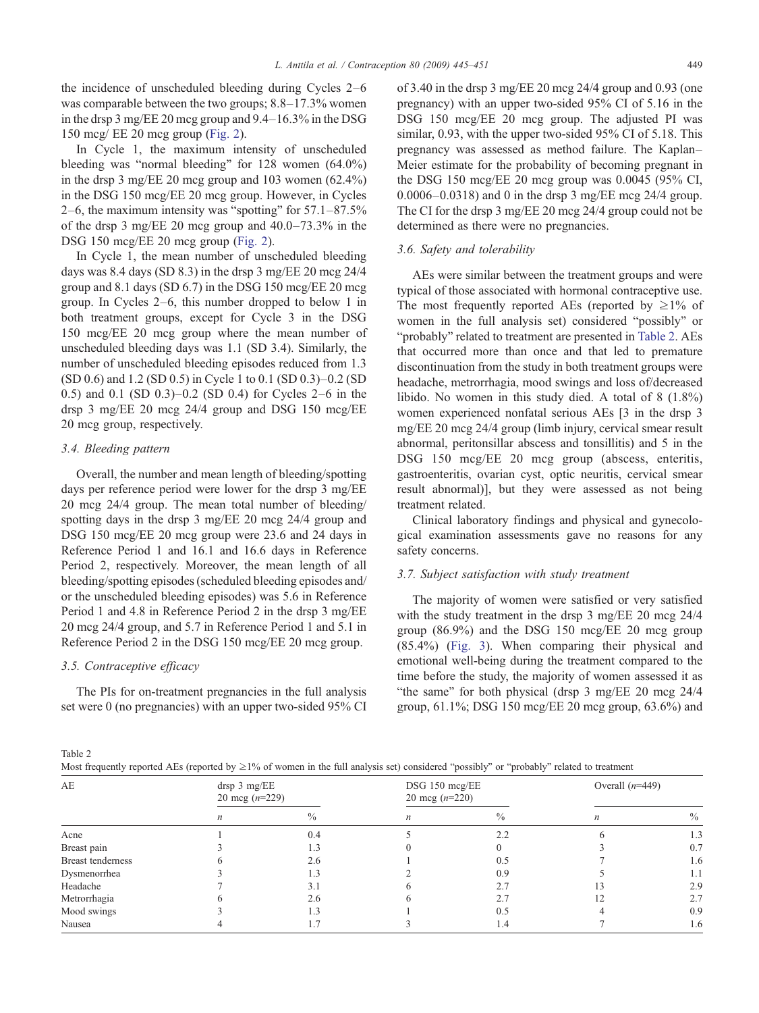the incidence of unscheduled bleeding during Cycles 2–6 was comparable between the two groups; 8.8–17.3% women in the drsp 3 mg/EE 20 mcg group and 9.4–16.3% in the DSG 150 mcg/ EE 20 mcg group [\(Fig. 2\)](#page-3-0).

In Cycle 1, the maximum intensity of unscheduled bleeding was "normal bleeding" for 128 women (64.0%) in the drsp 3 mg/EE 20 mcg group and 103 women (62.4%) in the DSG 150 mcg/EE 20 mcg group. However, in Cycles 2–6, the maximum intensity was "spotting" for 57.1–87.5% of the drsp 3 mg/EE 20 mcg group and 40.0–73.3% in the DSG 150 mcg/EE 20 mcg group ([Fig. 2\)](#page-3-0).

In Cycle 1, the mean number of unscheduled bleeding days was 8.4 days (SD 8.3) in the drsp 3 mg/EE 20 mcg 24/4 group and 8.1 days (SD 6.7) in the DSG 150 mcg/EE 20 mcg group. In Cycles 2–6, this number dropped to below 1 in both treatment groups, except for Cycle 3 in the DSG 150 mcg/EE 20 mcg group where the mean number of unscheduled bleeding days was 1.1 (SD 3.4). Similarly, the number of unscheduled bleeding episodes reduced from 1.3 (SD 0.6) and 1.2 (SD 0.5) in Cycle 1 to 0.1 (SD 0.3)–0.2 (SD 0.5) and 0.1 (SD 0.3)–0.2 (SD 0.4) for Cycles 2–6 in the drsp 3 mg/EE 20 mcg 24/4 group and DSG 150 mcg/EE 20 mcg group, respectively.

# 3.4. Bleeding pattern

Overall, the number and mean length of bleeding/spotting days per reference period were lower for the drsp 3 mg/EE 20 mcg 24/4 group. The mean total number of bleeding/ spotting days in the drsp 3 mg/EE 20 mcg 24/4 group and DSG 150 mcg/EE 20 mcg group were 23.6 and 24 days in Reference Period 1 and 16.1 and 16.6 days in Reference Period 2, respectively. Moreover, the mean length of all bleeding/spotting episodes (scheduled bleeding episodes and/ or the unscheduled bleeding episodes) was 5.6 in Reference Period 1 and 4.8 in Reference Period 2 in the drsp 3 mg/EE 20 mcg 24/4 group, and 5.7 in Reference Period 1 and 5.1 in Reference Period 2 in the DSG 150 mcg/EE 20 mcg group.

# 3.5. Contraceptive efficacy

The PIs for on-treatment pregnancies in the full analysis set were 0 (no pregnancies) with an upper two-sided 95% CI of 3.40 in the drsp 3 mg/EE 20 mcg 24/4 group and 0.93 (one pregnancy) with an upper two-sided 95% CI of 5.16 in the DSG 150 mcg/EE 20 mcg group. The adjusted PI was similar, 0.93, with the upper two-sided 95% CI of 5.18. This pregnancy was assessed as method failure. The Kaplan– Meier estimate for the probability of becoming pregnant in the DSG 150 mcg/EE 20 mcg group was 0.0045 (95% CI, 0.0006–0.0318) and 0 in the drsp 3 mg/EE mcg 24/4 group. The CI for the drsp 3 mg/EE 20 mcg 24/4 group could not be determined as there were no pregnancies.

#### 3.6. Safety and tolerability

AEs were similar between the treatment groups and were typical of those associated with hormonal contraceptive use. The most frequently reported AEs (reported by  $\geq 1\%$  of women in the full analysis set) considered "possibly" or "probably" related to treatment are presented in Table 2. AEs that occurred more than once and that led to premature discontinuation from the study in both treatment groups were headache, metrorrhagia, mood swings and loss of/decreased libido. No women in this study died. A total of 8 (1.8%) women experienced nonfatal serious AEs [3 in the drsp 3 mg/EE 20 mcg 24/4 group (limb injury, cervical smear result abnormal, peritonsillar abscess and tonsillitis) and 5 in the DSG 150 mcg/EE 20 mcg group (abscess, enteritis, gastroenteritis, ovarian cyst, optic neuritis, cervical smear result abnormal)], but they were assessed as not being treatment related.

Clinical laboratory findings and physical and gynecological examination assessments gave no reasons for any safety concerns.

#### 3.7. Subject satisfaction with study treatment

The majority of women were satisfied or very satisfied with the study treatment in the drsp 3 mg/EE 20 mcg 24/4 group (86.9%) and the DSG 150 mcg/EE 20 mcg group (85.4%) ([Fig. 3](#page-5-0)). When comparing their physical and emotional well-being during the treatment compared to the time before the study, the majority of women assessed it as "the same" for both physical (drsp 3 mg/EE 20 mcg 24/4 group, 61.1%; DSG 150 mcg/EE 20 mcg group, 63.6%) and

Table 2

| Most frequently reported AEs (reported by $\geq 1\%$ of women in the full analysis set) considered "possibly" or "probably" related to treatment |  |  |  |
|--------------------------------------------------------------------------------------------------------------------------------------------------|--|--|--|
|--------------------------------------------------------------------------------------------------------------------------------------------------|--|--|--|

| AE                       | drsp 3 mg/EE<br>20 mcg $(n=229)$ |      | DSG 150 mcg/EE<br>20 mcg $(n=220)$ |      | Overall $(n=449)$ |      |
|--------------------------|----------------------------------|------|------------------------------------|------|-------------------|------|
|                          | n                                | $\%$ | n                                  | $\%$ | n                 | $\%$ |
| Acne                     |                                  | 0.4  |                                    | 2.2  |                   | 1.3  |
| Breast pain              |                                  | 1.3  |                                    |      |                   | 0.7  |
| <b>Breast tenderness</b> |                                  | 2.6  |                                    | 0.5  |                   | 1.6  |
| Dysmenorrhea             |                                  | 1.3  |                                    | 0.9  |                   | 1.1  |
| Headache                 |                                  | 3.1  |                                    | 2.7  |                   | 2.9  |
| Metrorrhagia             |                                  | 2.6  |                                    | 2.7  |                   | 2.7  |
| Mood swings              |                                  | 1.3  |                                    | 0.5  |                   | 0.9  |
| Nausea                   |                                  |      |                                    | 1.4  |                   | 1.6  |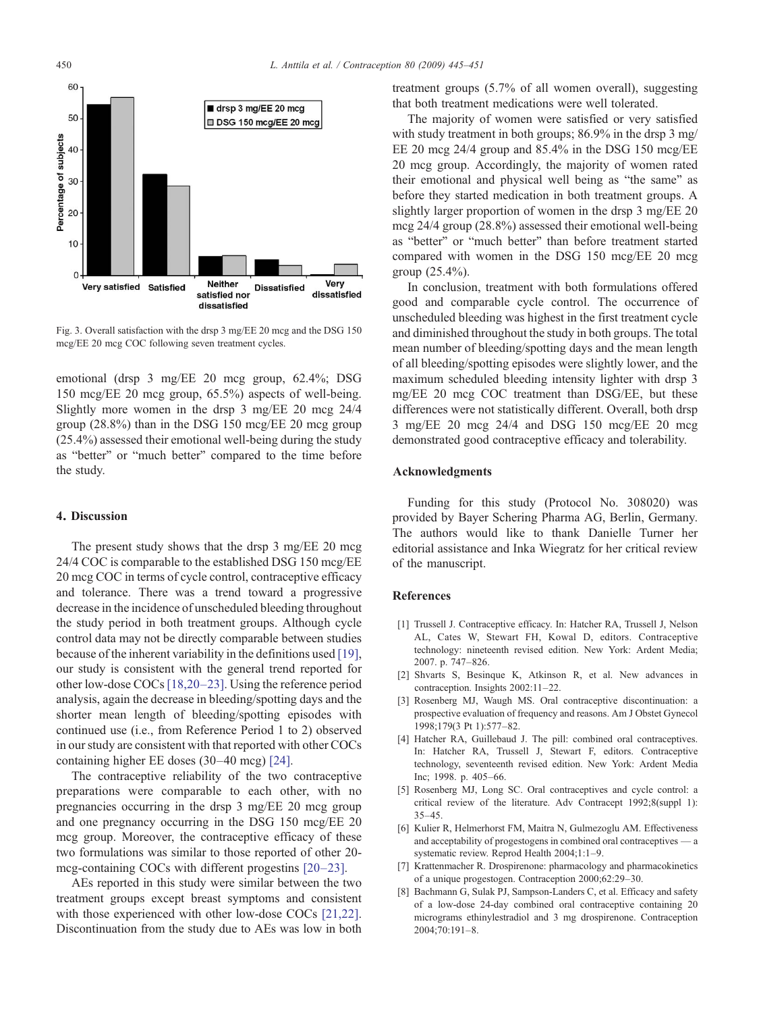<span id="page-5-0"></span>

Fig. 3. Overall satisfaction with the drsp 3 mg/EE 20 mcg and the DSG 150 mcg/EE 20 mcg COC following seven treatment cycles.

emotional (drsp 3 mg/EE 20 mcg group, 62.4%; DSG 150 mcg/EE 20 mcg group, 65.5%) aspects of well-being. Slightly more women in the drsp 3 mg/EE 20 mcg 24/4 group (28.8%) than in the DSG 150 mcg/EE 20 mcg group (25.4%) assessed their emotional well-being during the study as "better" or "much better" compared to the time before the study.

#### 4. Discussion

The present study shows that the drsp 3 mg/EE 20 mcg 24/4 COC is comparable to the established DSG 150 mcg/EE 20 mcg COC in terms of cycle control, contraceptive efficacy and tolerance. There was a trend toward a progressive decrease in the incidence of unscheduled bleeding throughout the study period in both treatment groups. Although cycle control data may not be directly comparable between studies because of the inherent variability in the definitions used [\[19\],](#page-6-0) our study is consistent with the general trend reported for other low-dose COCs[\[18,20](#page-6-0)–23]. Using the reference period analysis, again the decrease in bleeding/spotting days and the shorter mean length of bleeding/spotting episodes with continued use (i.e., from Reference Period 1 to 2) observed in our study are consistent with that reported with other COCs containing higher EE doses (30–40 mcg) [\[24\]](#page-6-0).

The contraceptive reliability of the two contraceptive preparations were comparable to each other, with no pregnancies occurring in the drsp 3 mg/EE 20 mcg group and one pregnancy occurring in the DSG 150 mcg/EE 20 mcg group. Moreover, the contraceptive efficacy of these two formulations was similar to those reported of other 20 mcg-containing COCs with different progestins [20–[23\].](#page-6-0)

AEs reported in this study were similar between the two treatment groups except breast symptoms and consistent with those experienced with other low-dose COCs [\[21,22\].](#page-6-0) Discontinuation from the study due to AEs was low in both

treatment groups (5.7% of all women overall), suggesting that both treatment medications were well tolerated.

The majority of women were satisfied or very satisfied with study treatment in both groups; 86.9% in the drsp 3 mg/ EE 20 mcg 24/4 group and 85.4% in the DSG 150 mcg/EE 20 mcg group. Accordingly, the majority of women rated their emotional and physical well being as "the same" as before they started medication in both treatment groups. A slightly larger proportion of women in the drsp 3 mg/EE 20 mcg 24/4 group (28.8%) assessed their emotional well-being as "better" or "much better" than before treatment started compared with women in the DSG 150 mcg/EE 20 mcg group (25.4%).

In conclusion, treatment with both formulations offered good and comparable cycle control. The occurrence of unscheduled bleeding was highest in the first treatment cycle and diminished throughout the study in both groups. The total mean number of bleeding/spotting days and the mean length of all bleeding/spotting episodes were slightly lower, and the maximum scheduled bleeding intensity lighter with drsp 3 mg/EE 20 mcg COC treatment than DSG/EE, but these differences were not statistically different. Overall, both drsp 3 mg/EE 20 mcg 24/4 and DSG 150 mcg/EE 20 mcg demonstrated good contraceptive efficacy and tolerability.

#### Acknowledgments

Funding for this study (Protocol No. 308020) was provided by Bayer Schering Pharma AG, Berlin, Germany. The authors would like to thank Danielle Turner her editorial assistance and Inka Wiegratz for her critical review of the manuscript.

# References

- [1] Trussell J. Contraceptive efficacy. In: Hatcher RA, Trussell J, Nelson AL, Cates W, Stewart FH, Kowal D, editors. Contraceptive technology: nineteenth revised edition. New York: Ardent Media; 2007. p. 747–826.
- [2] Shvarts S, Besinque K, Atkinson R, et al. New advances in contraception. Insights 2002:11–22.
- [3] Rosenberg MJ, Waugh MS. Oral contraceptive discontinuation: a prospective evaluation of frequency and reasons. Am J Obstet Gynecol 1998;179(3 Pt 1):577–82.
- [4] Hatcher RA, Guillebaud J. The pill: combined oral contraceptives. In: Hatcher RA, Trussell J, Stewart F, editors. Contraceptive technology, seventeenth revised edition. New York: Ardent Media Inc; 1998. p. 405–66.
- [5] Rosenberg MJ, Long SC. Oral contraceptives and cycle control: a critical review of the literature. Adv Contracept 1992;8(suppl 1): 35–45.
- [6] Kulier R, Helmerhorst FM, Maitra N, Gulmezoglu AM. Effectiveness and acceptability of progestogens in combined oral contraceptives — a systematic review. Reprod Health 2004;1:1–9.
- [7] Krattenmacher R. Drospirenone: pharmacology and pharmacokinetics of a unique progestogen. Contraception 2000;62:29–30.
- [8] Bachmann G, Sulak PJ, Sampson-Landers C, et al. Efficacy and safety of a low-dose 24-day combined oral contraceptive containing 20 micrograms ethinylestradiol and 3 mg drospirenone. Contraception 2004;70:191–8.